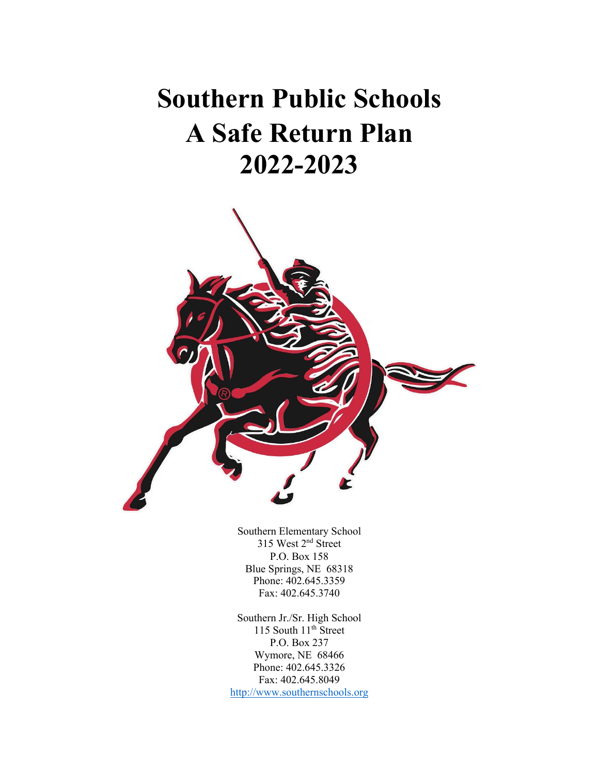# **Southern Public Schools A Safe Return Plan 2022-2023**



Southern Elementary School 315 West 2<sup>nd</sup> Street P.O. Box 158 Blue Springs, NE 68318 Phone: 402.645.3359 Fax: 402.645.3740

Southern Jr./Sr. High School 115 South  $11^{th}$  Street P.O. Box 237 Wymore, NE 68466 Phone: 402.645.3326 Fax: 402.645.8049 http://www.southernschools.org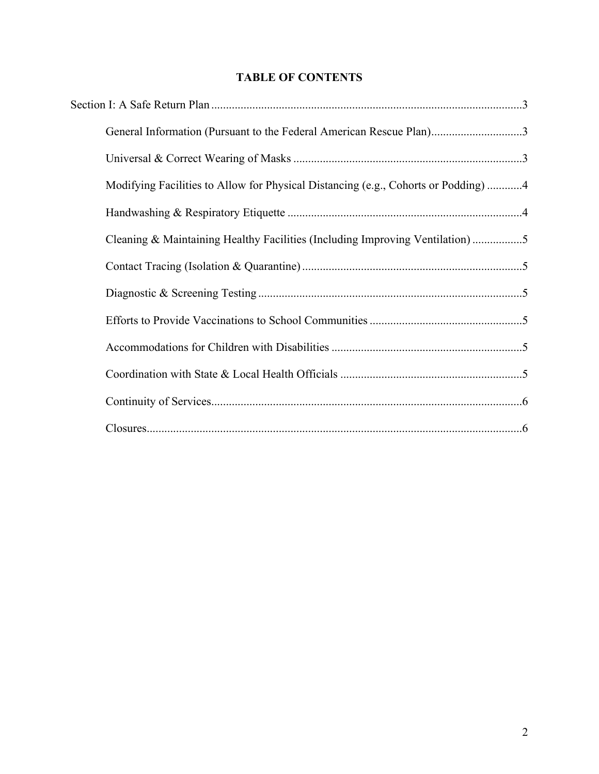# **TABLE OF CONTENTS**

| General Information (Pursuant to the Federal American Rescue Plan)3                |  |
|------------------------------------------------------------------------------------|--|
|                                                                                    |  |
| Modifying Facilities to Allow for Physical Distancing (e.g., Cohorts or Podding) 4 |  |
|                                                                                    |  |
| Cleaning & Maintaining Healthy Facilities (Including Improving Ventilation) 5      |  |
|                                                                                    |  |
|                                                                                    |  |
|                                                                                    |  |
|                                                                                    |  |
|                                                                                    |  |
|                                                                                    |  |
|                                                                                    |  |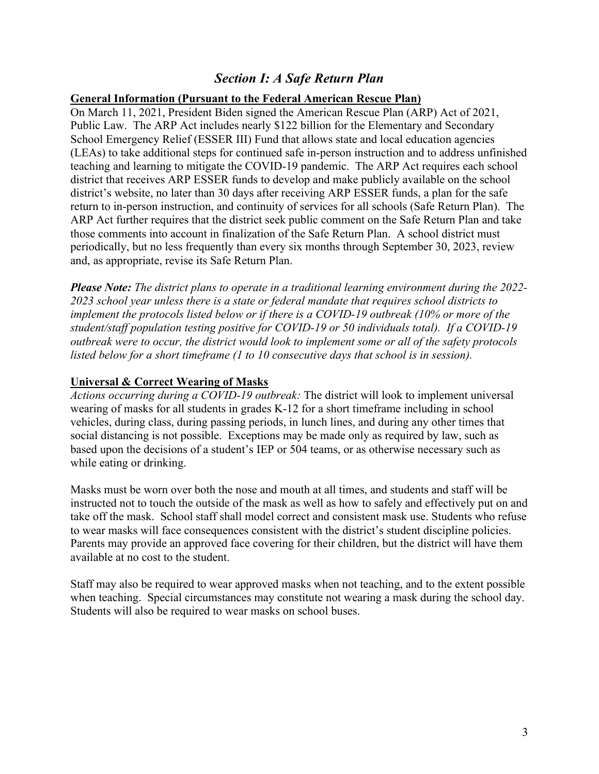# *Section I: A Safe Return Plan*

#### **General Information (Pursuant to the Federal American Rescue Plan)**

On March 11, 2021, President Biden signed the American Rescue Plan (ARP) Act of 2021, Public Law. The ARP Act includes nearly \$122 billion for the Elementary and Secondary School Emergency Relief (ESSER III) Fund that allows state and local education agencies (LEAs) to take additional steps for continued safe in-person instruction and to address unfinished teaching and learning to mitigate the COVID-19 pandemic. The ARP Act requires each school district that receives ARP ESSER funds to develop and make publicly available on the school district's website, no later than 30 days after receiving ARP ESSER funds, a plan for the safe return to in-person instruction, and continuity of services for all schools (Safe Return Plan). The ARP Act further requires that the district seek public comment on the Safe Return Plan and take those comments into account in finalization of the Safe Return Plan. A school district must periodically, but no less frequently than every six months through September 30, 2023, review and, as appropriate, revise its Safe Return Plan.

*Please Note: The district plans to operate in a traditional learning environment during the 2022- 2023 school year unless there is a state or federal mandate that requires school districts to implement the protocols listed below or if there is a COVID-19 outbreak (10% or more of the student/staff population testing positive for COVID-19 or 50 individuals total). If a COVID-19 outbreak were to occur, the district would look to implement some or all of the safety protocols listed below for a short timeframe (1 to 10 consecutive days that school is in session).*

## **Universal & Correct Wearing of Masks**

*Actions occurring during a COVID-19 outbreak:* The district will look to implement universal wearing of masks for all students in grades K-12 for a short timeframe including in school vehicles, during class, during passing periods, in lunch lines, and during any other times that social distancing is not possible. Exceptions may be made only as required by law, such as based upon the decisions of a student's IEP or 504 teams, or as otherwise necessary such as while eating or drinking.

Masks must be worn over both the nose and mouth at all times, and students and staff will be instructed not to touch the outside of the mask as well as how to safely and effectively put on and take off the mask. School staff shall model correct and consistent mask use. Students who refuse to wear masks will face consequences consistent with the district's student discipline policies. Parents may provide an approved face covering for their children, but the district will have them available at no cost to the student.

Staff may also be required to wear approved masks when not teaching, and to the extent possible when teaching. Special circumstances may constitute not wearing a mask during the school day. Students will also be required to wear masks on school buses.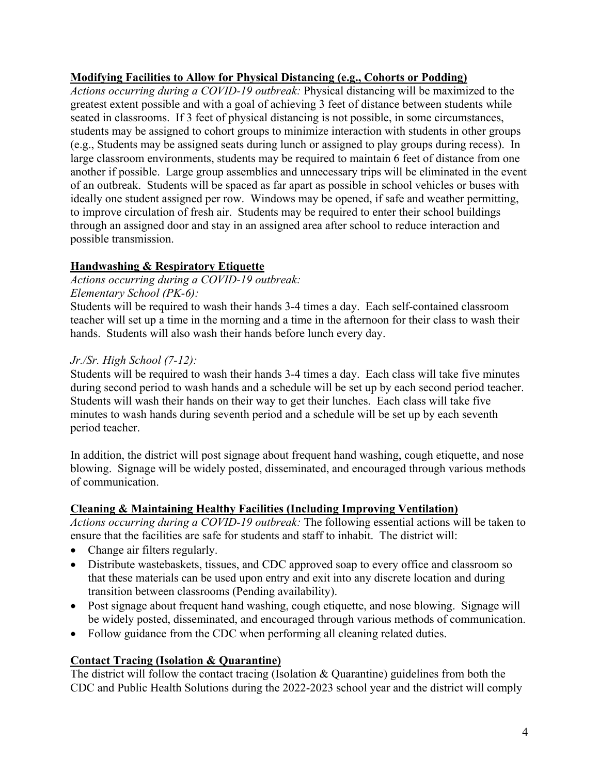## **Modifying Facilities to Allow for Physical Distancing (e.g., Cohorts or Podding)**

*Actions occurring during a COVID-19 outbreak:* Physical distancing will be maximized to the greatest extent possible and with a goal of achieving 3 feet of distance between students while seated in classrooms. If 3 feet of physical distancing is not possible, in some circumstances, students may be assigned to cohort groups to minimize interaction with students in other groups (e.g., Students may be assigned seats during lunch or assigned to play groups during recess). In large classroom environments, students may be required to maintain 6 feet of distance from one another if possible. Large group assemblies and unnecessary trips will be eliminated in the event of an outbreak. Students will be spaced as far apart as possible in school vehicles or buses with ideally one student assigned per row. Windows may be opened, if safe and weather permitting, to improve circulation of fresh air. Students may be required to enter their school buildings through an assigned door and stay in an assigned area after school to reduce interaction and possible transmission.

# **Handwashing & Respiratory Etiquette**

*Actions occurring during a COVID-19 outbreak: Elementary School (PK-6):*

Students will be required to wash their hands 3-4 times a day. Each self-contained classroom teacher will set up a time in the morning and a time in the afternoon for their class to wash their hands. Students will also wash their hands before lunch every day.

## *Jr./Sr. High School (7-12):*

Students will be required to wash their hands 3-4 times a day. Each class will take five minutes during second period to wash hands and a schedule will be set up by each second period teacher. Students will wash their hands on their way to get their lunches. Each class will take five minutes to wash hands during seventh period and a schedule will be set up by each seventh period teacher.

In addition, the district will post signage about frequent hand washing, cough etiquette, and nose blowing. Signage will be widely posted, disseminated, and encouraged through various methods of communication.

# **Cleaning & Maintaining Healthy Facilities (Including Improving Ventilation)**

*Actions occurring during a COVID-19 outbreak:* The following essential actions will be taken to ensure that the facilities are safe for students and staff to inhabit. The district will:

- Change air filters regularly.
- Distribute wastebaskets, tissues, and CDC approved soap to every office and classroom so that these materials can be used upon entry and exit into any discrete location and during transition between classrooms (Pending availability).
- Post signage about frequent hand washing, cough etiquette, and nose blowing. Signage will be widely posted, disseminated, and encouraged through various methods of communication.
- Follow guidance from the CDC when performing all cleaning related duties.

# **Contact Tracing (Isolation & Quarantine)**

The district will follow the contact tracing (Isolation & Quarantine) guidelines from both the CDC and Public Health Solutions during the 2022-2023 school year and the district will comply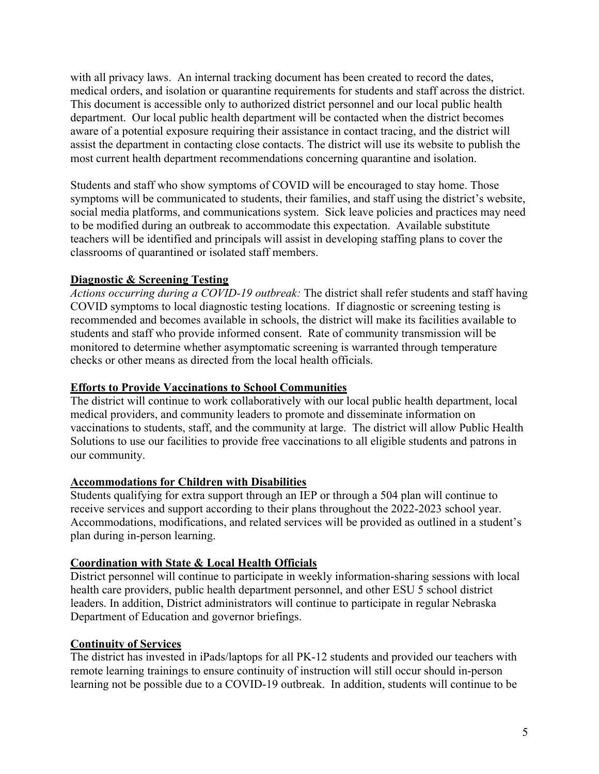with all privacy laws. An internal tracking document has been created to record the dates, medical orders, and isolation or quarantine requirements for students and staff across the district. This document is accessible only to authorized district personnel and our local public health department. Our local public health department will be contacted when the district becomes aware of a potential exposure requiring their assistance in contact tracing, and the district will assist the department in contacting close contacts. The district will use its website to publish the most current health department recommendations concerning quarantine and isolation.

Students and staff who show symptoms of COVID will be encouraged to stay home. Those symptoms will be communicated to students, their families, and staff using the district's website, social media platforms, and communications system. Sick leave policies and practices may need to be modified during an outbreak to accommodate this expectation. Available substitute teachers will be identified and principals will assist in developing staffing plans to cover the classrooms of quarantined or isolated staff members.

## **Diagnostic & Screening Testing**

*Actions occurring during a COVID-19 outbreak:* The district shall refer students and staff having COVID symptoms to local diagnostic testing locations. If diagnostic or screening testing is recommended and becomes available in schools, the district will make its facilities available to students and staff who provide informed consent. Rate of community transmission will be monitored to determine whether asymptomatic screening is warranted through temperature checks or other means as directed from the local health officials.

#### **Efforts to Provide Vaccinations to School Communities**

The district will continue to work collaboratively with our local public health department, local medical providers, and community leaders to promote and disseminate information on vaccinations to students, staff, and the community at large. The district will allow Public Health Solutions to use our facilities to provide free vaccinations to all eligible students and patrons in our community.

#### **Accommodations for Children with Disabilities**

Students qualifying for extra support through an IEP or through a 504 plan will continue to receive services and support according to their plans throughout the 2022-2023 school year. Accommodations, modifications, and related services will be provided as outlined in a student's plan during in-person learning.

#### **Coordination with State & Local Health Officials**

District personnel will continue to participate in weekly information-sharing sessions with local health care providers, public health department personnel, and other ESU 5 school district leaders. In addition, District administrators will continue to participate in regular Nebraska Department of Education and governor briefings.

#### **Continuity of Services**

The district has invested in iPads/laptops for all PK-12 students and provided our teachers with remote learning trainings to ensure continuity of instruction will still occur should in-person learning not be possible due to a COVID-19 outbreak. In addition, students will continue to be